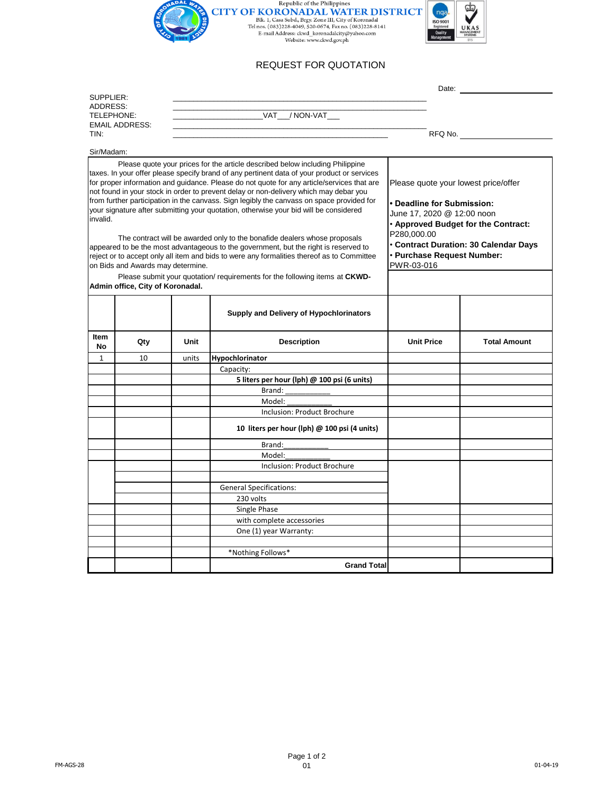

# REQUEST FOR QUOTATION

|                                                                                                                                                                                    |     |       |                                                                                            | Date:                                                    |                     |
|------------------------------------------------------------------------------------------------------------------------------------------------------------------------------------|-----|-------|--------------------------------------------------------------------------------------------|----------------------------------------------------------|---------------------|
| SUPPLIER:                                                                                                                                                                          |     |       |                                                                                            |                                                          |                     |
| ADDRESS:                                                                                                                                                                           |     |       |                                                                                            |                                                          |                     |
| TELEPHONE:                                                                                                                                                                         |     |       |                                                                                            |                                                          |                     |
| <b>EMAIL ADDRESS:</b><br>TIN:                                                                                                                                                      |     |       |                                                                                            |                                                          | RFQ No.             |
|                                                                                                                                                                                    |     |       |                                                                                            |                                                          |                     |
| Sir/Madam:                                                                                                                                                                         |     |       |                                                                                            |                                                          |                     |
| Please quote your prices for the article described below including Philippine                                                                                                      |     |       |                                                                                            |                                                          |                     |
| taxes. In your offer please specify brand of any pertinent data of your product or services                                                                                        |     |       |                                                                                            |                                                          |                     |
|                                                                                                                                                                                    |     |       | for proper information and guidance. Please do not quote for any article/services that are | Please quote your lowest price/offer                     |                     |
| not found in your stock in order to prevent delay or non-delivery which may debar you<br>from further participation in the canvass. Sign legibly the canvass on space provided for |     |       |                                                                                            |                                                          |                     |
|                                                                                                                                                                                    |     |       | your signature after submitting your quotation, otherwise your bid will be considered      | • Deadline for Submission:<br>June 17, 2020 @ 12:00 noon |                     |
| invalid.                                                                                                                                                                           |     |       |                                                                                            |                                                          |                     |
|                                                                                                                                                                                    |     |       |                                                                                            | . Approved Budget for the Contract:<br>P280,000.00       |                     |
| The contract will be awarded only to the bonafide dealers whose proposals                                                                                                          |     |       |                                                                                            | • Contract Duration: 30 Calendar Days                    |                     |
| appeared to be the most advantageous to the government, but the right is reserved to                                                                                               |     |       |                                                                                            | · Purchase Request Number:                               |                     |
| reject or to accept only all item and bids to were any formalities thereof as to Committee<br>on Bids and Awards may determine.                                                    |     |       |                                                                                            | PWR-03-016                                               |                     |
| Please submit your quotation/ requirements for the following items at CKWD-                                                                                                        |     |       |                                                                                            |                                                          |                     |
| Admin office, City of Koronadal.                                                                                                                                                   |     |       |                                                                                            |                                                          |                     |
|                                                                                                                                                                                    |     |       |                                                                                            |                                                          |                     |
|                                                                                                                                                                                    |     |       |                                                                                            |                                                          |                     |
|                                                                                                                                                                                    |     |       | Supply and Delivery of Hypochlorinators                                                    |                                                          |                     |
|                                                                                                                                                                                    |     |       |                                                                                            |                                                          |                     |
| <b>Item</b><br>No                                                                                                                                                                  | Qty | Unit  | <b>Description</b>                                                                         | <b>Unit Price</b>                                        | <b>Total Amount</b> |
| $\mathbf{1}$                                                                                                                                                                       | 10  | units | Hypochlorinator                                                                            |                                                          |                     |
|                                                                                                                                                                                    |     |       | Capacity:                                                                                  |                                                          |                     |
|                                                                                                                                                                                    |     |       | 5 liters per hour (lph) @ 100 psi (6 units)                                                |                                                          |                     |
|                                                                                                                                                                                    |     |       | Brand:                                                                                     |                                                          |                     |
|                                                                                                                                                                                    |     |       | Model:                                                                                     |                                                          |                     |
|                                                                                                                                                                                    |     |       | Inclusion: Product Brochure                                                                |                                                          |                     |
|                                                                                                                                                                                    |     |       | 10 liters per hour (lph) @ 100 psi (4 units)                                               |                                                          |                     |
|                                                                                                                                                                                    |     |       | Brand:                                                                                     |                                                          |                     |
|                                                                                                                                                                                    |     |       | Model:                                                                                     |                                                          |                     |
|                                                                                                                                                                                    |     |       | Inclusion: Product Brochure                                                                |                                                          |                     |
|                                                                                                                                                                                    |     |       |                                                                                            |                                                          |                     |
|                                                                                                                                                                                    |     |       | <b>General Specifications:</b>                                                             |                                                          |                     |
|                                                                                                                                                                                    |     |       | 230 volts                                                                                  |                                                          |                     |
|                                                                                                                                                                                    |     |       | Single Phase                                                                               |                                                          |                     |
|                                                                                                                                                                                    |     |       | with complete accessories                                                                  |                                                          |                     |
|                                                                                                                                                                                    |     |       | One (1) year Warranty:                                                                     |                                                          |                     |
|                                                                                                                                                                                    |     |       |                                                                                            |                                                          |                     |
|                                                                                                                                                                                    |     |       | *Nothing Follows*                                                                          |                                                          |                     |
|                                                                                                                                                                                    |     |       | <b>Grand Total</b>                                                                         |                                                          |                     |
|                                                                                                                                                                                    |     |       |                                                                                            |                                                          |                     |